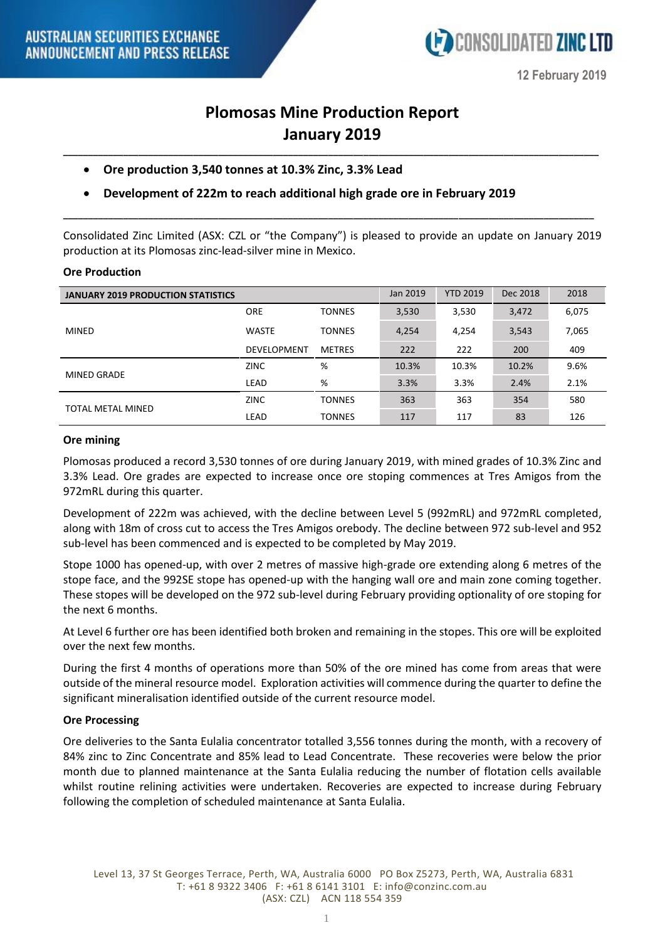

**12 February 2019**

# **Plomosas Mine Production Report January 2019**

**\_\_\_\_\_\_\_\_\_\_\_\_\_\_\_\_\_\_\_\_\_\_\_\_\_\_\_\_\_\_\_\_\_\_\_\_\_\_\_\_\_\_\_\_\_\_\_\_\_\_\_\_\_\_\_\_\_\_\_\_\_\_\_\_\_\_\_\_\_\_\_\_\_\_\_\_\_\_\_\_\_\_\_\_\_\_\_\_\_\_\_\_\_\_\_\_\_\_\_\_\_\_\_\_\_\_\_**

- **Ore production 3,540 tonnes at 10.3% Zinc, 3.3% Lead**
- **Development of 222m to reach additional high grade ore in February 2019**

Consolidated Zinc Limited (ASX: CZL or "the Company") is pleased to provide an update on January 2019 production at its Plomosas zinc-lead-silver mine in Mexico.

**\_\_\_\_\_\_\_\_\_\_\_\_\_\_\_\_\_\_\_\_\_\_\_\_\_\_\_\_\_\_\_\_\_\_\_\_\_\_\_\_\_\_\_\_\_\_\_\_\_\_\_\_\_\_\_\_\_\_\_\_\_\_\_\_\_\_\_\_\_\_\_\_\_\_\_\_\_\_\_\_\_\_\_\_\_\_\_\_\_\_\_\_\_\_\_\_\_\_\_\_\_\_\_\_\_\_**

## **Ore Production**

| <b>JANUARY 2019 PRODUCTION STATISTICS</b> |                    |               | Jan 2019 | <b>YTD 2019</b> | Dec 2018 | 2018  |
|-------------------------------------------|--------------------|---------------|----------|-----------------|----------|-------|
| <b>MINED</b>                              | <b>ORE</b>         | <b>TONNES</b> | 3,530    | 3,530           | 3,472    | 6,075 |
|                                           | <b>WASTE</b>       | <b>TONNES</b> | 4,254    | 4,254           | 3,543    | 7,065 |
|                                           | <b>DEVELOPMENT</b> | <b>METRES</b> | 222      | 222             | 200      | 409   |
| MINED GRADE                               | <b>ZINC</b>        | %             | 10.3%    | 10.3%           | 10.2%    | 9.6%  |
|                                           | LEAD               | %             | 3.3%     | 3.3%            | 2.4%     | 2.1%  |
| TOTAL METAL MINED                         | <b>ZINC</b>        | <b>TONNES</b> | 363      | 363             | 354      | 580   |
|                                           | LEAD               | <b>TONNES</b> | 117      | 117             | 83       | 126   |

### **Ore mining**

Plomosas produced a record 3,530 tonnes of ore during January 2019, with mined grades of 10.3% Zinc and 3.3% Lead. Ore grades are expected to increase once ore stoping commences at Tres Amigos from the 972mRL during this quarter.

Development of 222m was achieved, with the decline between Level 5 (992mRL) and 972mRL completed, along with 18m of cross cut to access the Tres Amigos orebody. The decline between 972 sub-level and 952 sub-level has been commenced and is expected to be completed by May 2019.

Stope 1000 has opened-up, with over 2 metres of massive high-grade ore extending along 6 metres of the stope face, and the 992SE stope has opened-up with the hanging wall ore and main zone coming together. These stopes will be developed on the 972 sub-level during February providing optionality of ore stoping for the next 6 months.

At Level 6 further ore has been identified both broken and remaining in the stopes. This ore will be exploited over the next few months.

During the first 4 months of operations more than 50% of the ore mined has come from areas that were outside of the mineral resource model. Exploration activities will commence during the quarter to define the significant mineralisation identified outside of the current resource model.

## **Ore Processing**

Ore deliveries to the Santa Eulalia concentrator totalled 3,556 tonnes during the month, with a recovery of 84% zinc to Zinc Concentrate and 85% lead to Lead Concentrate. These recoveries were below the prior month due to planned maintenance at the Santa Eulalia reducing the number of flotation cells available whilst routine relining activities were undertaken. Recoveries are expected to increase during February following the completion of scheduled maintenance at Santa Eulalia.